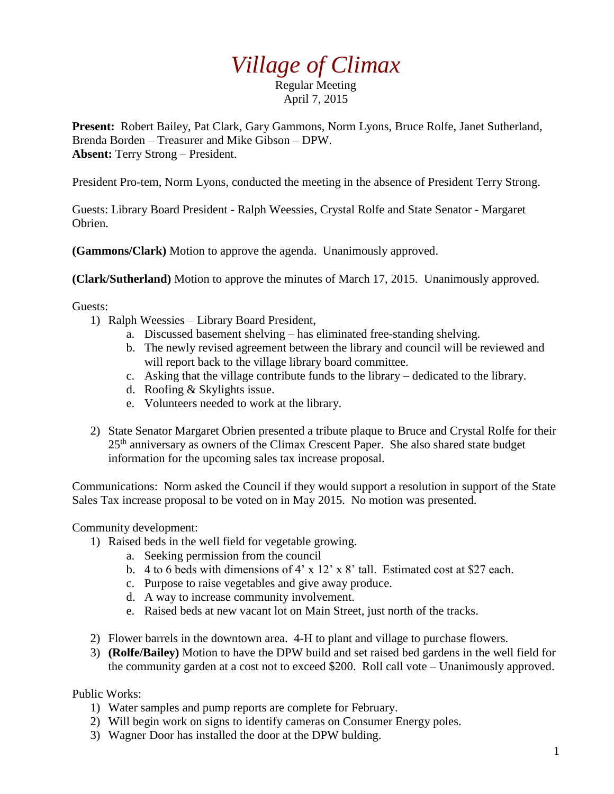## *Village of Climax*

Regular Meeting April 7, 2015

**Present:** Robert Bailey, Pat Clark, Gary Gammons, Norm Lyons, Bruce Rolfe, Janet Sutherland, Brenda Borden – Treasurer and Mike Gibson – DPW. **Absent:** Terry Strong – President.

President Pro-tem, Norm Lyons, conducted the meeting in the absence of President Terry Strong.

Guests: Library Board President - Ralph Weessies, Crystal Rolfe and State Senator - Margaret Obrien.

**(Gammons/Clark)** Motion to approve the agenda. Unanimously approved.

**(Clark/Sutherland)** Motion to approve the minutes of March 17, 2015. Unanimously approved.

Guests:

- 1) Ralph Weessies Library Board President,
	- a. Discussed basement shelving has eliminated free-standing shelving.
	- b. The newly revised agreement between the library and council will be reviewed and will report back to the village library board committee.
	- c. Asking that the village contribute funds to the library dedicated to the library.
	- d. Roofing & Skylights issue.
	- e. Volunteers needed to work at the library.
- 2) State Senator Margaret Obrien presented a tribute plaque to Bruce and Crystal Rolfe for their 25<sup>th</sup> anniversary as owners of the Climax Crescent Paper. She also shared state budget information for the upcoming sales tax increase proposal.

Communications: Norm asked the Council if they would support a resolution in support of the State Sales Tax increase proposal to be voted on in May 2015. No motion was presented.

Community development:

- 1) Raised beds in the well field for vegetable growing.
	- a. Seeking permission from the council
	- b. 4 to 6 beds with dimensions of 4' x 12' x 8' tall. Estimated cost at \$27 each.
	- c. Purpose to raise vegetables and give away produce.
	- d. A way to increase community involvement.
	- e. Raised beds at new vacant lot on Main Street, just north of the tracks.
- 2) Flower barrels in the downtown area. 4-H to plant and village to purchase flowers.
- 3) **(Rolfe/Bailey)** Motion to have the DPW build and set raised bed gardens in the well field for the community garden at a cost not to exceed \$200. Roll call vote – Unanimously approved.

Public Works:

- 1) Water samples and pump reports are complete for February.
- 2) Will begin work on signs to identify cameras on Consumer Energy poles.
- 3) Wagner Door has installed the door at the DPW bulding.